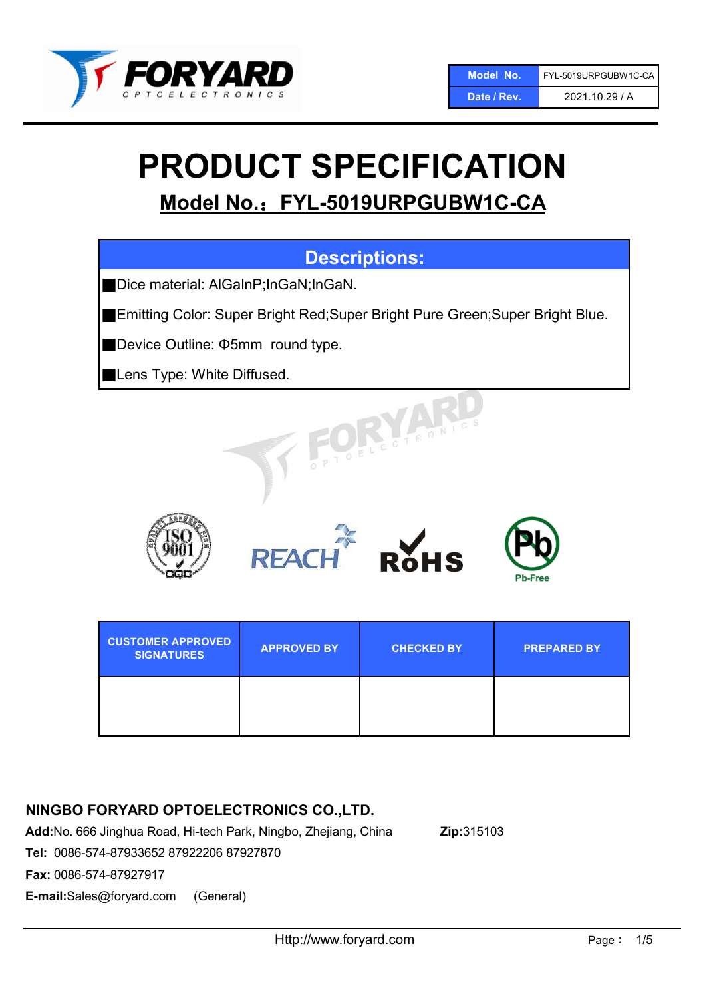

# PRODUCT SPECIFICATION

# Model No.: FYL-5019URPGUBW1C-CA

# Descriptions:

■ Dice material: AlGaInP;InGaN;InGaN.

■Emitting Color: Super Bright Red;Super Bright Pure Green;Super Bright Blue.

■Device Outline: Φ5mm round type.

■Lens Type: White Diffused.











| <b>CUSTOMER APPROVED</b><br><b>SIGNATURES</b> | <b>APPROVED BY</b> | <b>CHECKED BY</b> | <b>PREPARED BY</b> |
|-----------------------------------------------|--------------------|-------------------|--------------------|
|                                               |                    |                   |                    |

## NINGBO FORYARD OPTOELECTRONICS CO.,LTD.

Add:No. 666 Jinghua Road, Hi-tech Park, Ningbo, Zhejiang, China Zip:315103

Tel: 0086-574-87933652 87922206 87927870

Fax: 0086-574-87927917

E-mail:Sales@foryard.com (General)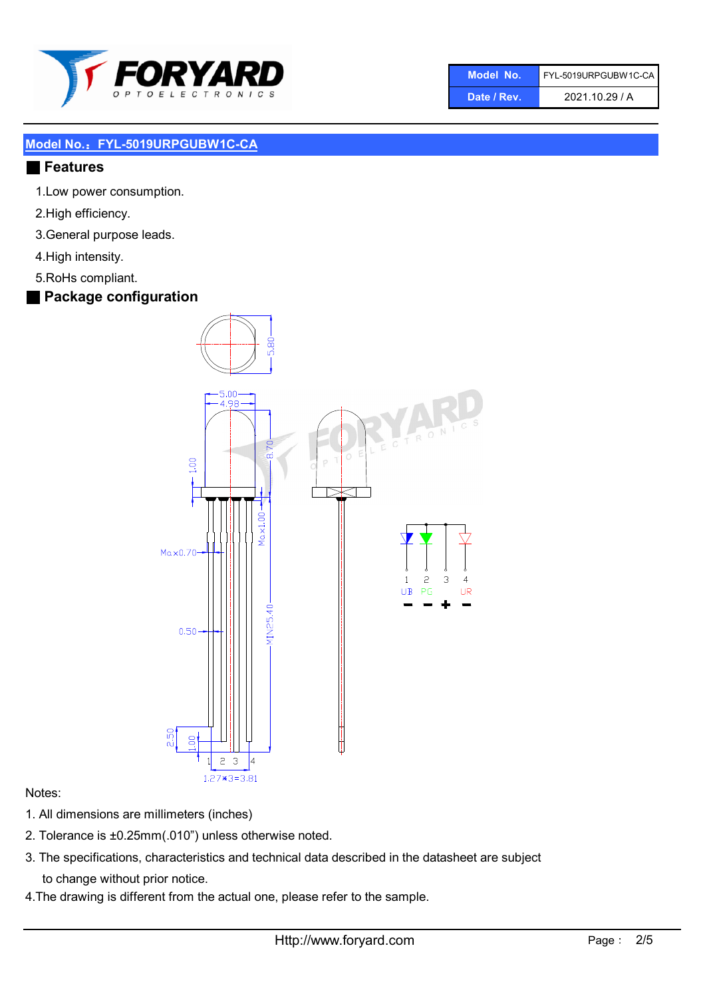

| Model No.   | FYL-5019URPGUBW1C-CA |
|-------------|----------------------|
| Date / Rev. | 2021.10.29 / A       |

#### ■ Features

- 1.Low power consumption.
- 2.High efficiency.
- 3.General purpose leads.
- 4.High intensity.
- 5.RoHs compliant.
- Package configuration



#### Notes:

- 1. All dimensions are millimeters (inches)
- 2. Tolerance is ±0.25mm(.010") unless otherwise noted.
- 3. The specifications, characteristics and technical data described in the datasheet are subject to change without prior notice.
- 4.The drawing is different from the actual one, please refer to the sample.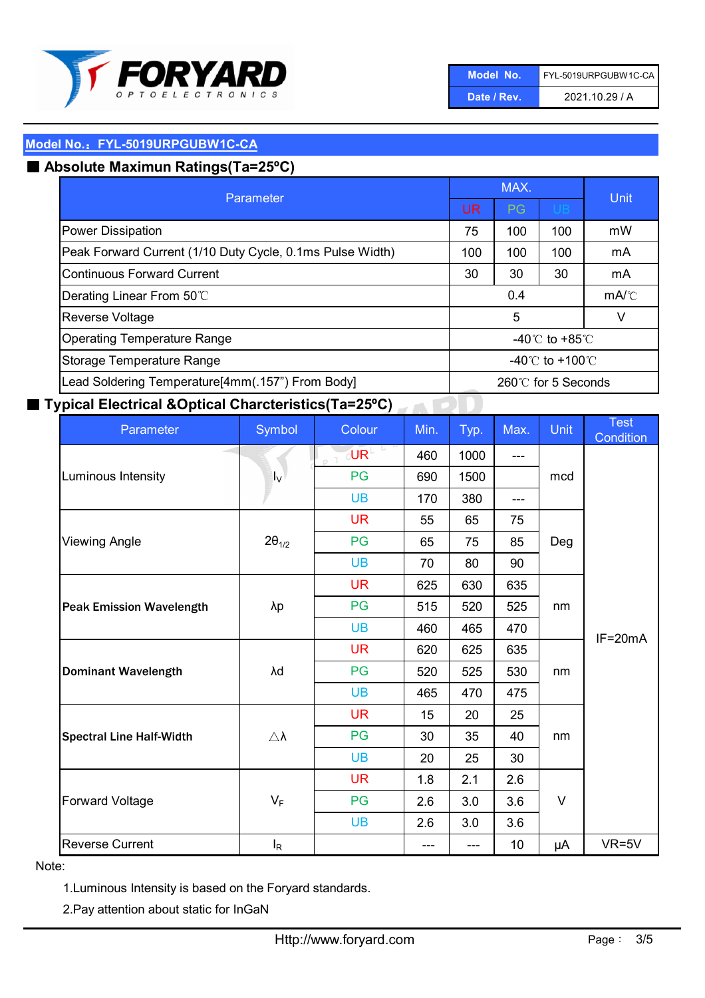

| Model No.   | FYL-5019URPGUBW1C-CA |
|-------------|----------------------|
| Date / Rev. | 2021.10.29 / A       |

## ■ Absolute Maximun Ratings(Ta=25°C)

| Parameter                                                 |                                     | MAX.      | Unit                                 |    |
|-----------------------------------------------------------|-------------------------------------|-----------|--------------------------------------|----|
|                                                           |                                     | <b>PG</b> | <b>UB</b>                            |    |
| <b>Power Dissipation</b>                                  | 75                                  | 100       | 100                                  | mW |
| Peak Forward Current (1/10 Duty Cycle, 0.1ms Pulse Width) | 100                                 | 100       | 100                                  | mA |
| Continuous Forward Current                                | 30                                  | 30        | 30                                   | mA |
| Derating Linear From 50°C                                 | 0.4                                 |           | $mA$ <sup><math>\circ</math></sup> C |    |
| <b>Reverse Voltage</b>                                    | 5<br>v                              |           |                                      |    |
| <b>Operating Temperature Range</b>                        | -40 $\degree$ C to +85 $\degree$ C  |           |                                      |    |
| Storage Temperature Range                                 | -40 $\degree$ C to +100 $\degree$ C |           |                                      |    |
| Lead Soldering Temperature[4mm(.157") From Body]          | $260^\circ\text{C}$ for 5 Seconds   |           |                                      |    |

## ■ Typical Electrical &Optical Charcteristics(Ta=25°C)

| Parameter                       | Symbol              | Colour                    | Min.      | Typ. | Max. | <b>Unit</b> | <b>Test</b><br>Condition |
|---------------------------------|---------------------|---------------------------|-----------|------|------|-------------|--------------------------|
|                                 |                     | $\overline{\mathsf{U}}$ R | 460       | 1000 | ---  |             |                          |
| Luminous Intensity              | $I_{\vee}$          | PG                        | 690       | 1500 |      | mcd         |                          |
|                                 |                     | <b>UB</b>                 | 170       | 380  | ---  |             |                          |
|                                 |                     | <b>UR</b>                 | 55        | 65   | 75   | Deg         |                          |
| <b>Viewing Angle</b>            | $2\theta_{1/2}$     | PG                        | 65        | 75   | 85   |             |                          |
|                                 |                     | <b>UB</b>                 | 70        | 80   | 90   |             |                          |
|                                 |                     | <b>UR</b>                 | 625       | 630  | 635  |             | nm<br>$IF=20mA$          |
| <b>Peak Emission Wavelength</b> | λp                  | PG                        | 515       | 520  | 525  |             |                          |
|                                 |                     | <b>UB</b>                 | 460       | 465  | 470  |             |                          |
|                                 |                     | <b>UR</b>                 | 620       | 625  | 635  |             |                          |
| <b>Dominant Wavelength</b>      | λd                  | PG                        | 520       | 525  | 530  | nm          |                          |
|                                 |                     | <b>UB</b>                 | 465       | 470  | 475  |             |                          |
|                                 |                     | <b>UR</b>                 | 15        | 20   | 25   |             |                          |
| <b>Spectral Line Half-Width</b> | $\triangle \lambda$ | PG                        | 30        | 35   | 40   | nm          |                          |
|                                 |                     |                           | <b>UB</b> | 20   | 25   | 30          |                          |
|                                 |                     | <b>UR</b>                 | 1.8       | 2.1  | 2.6  |             |                          |
| <b>Forward Voltage</b>          | $V_F$               | PG                        | 2.6       | 3.0  | 3.6  | $\vee$      |                          |
|                                 |                     | <b>UB</b>                 | 2.6       | 3.0  | 3.6  |             |                          |
| <b>Reverse Current</b>          | $I_R$               |                           | ---       | ---  | 10   | μA          | $VR=5V$                  |

#### Note:

1.Luminous Intensity is based on the Foryard standards.

2.Pay attention about static for InGaN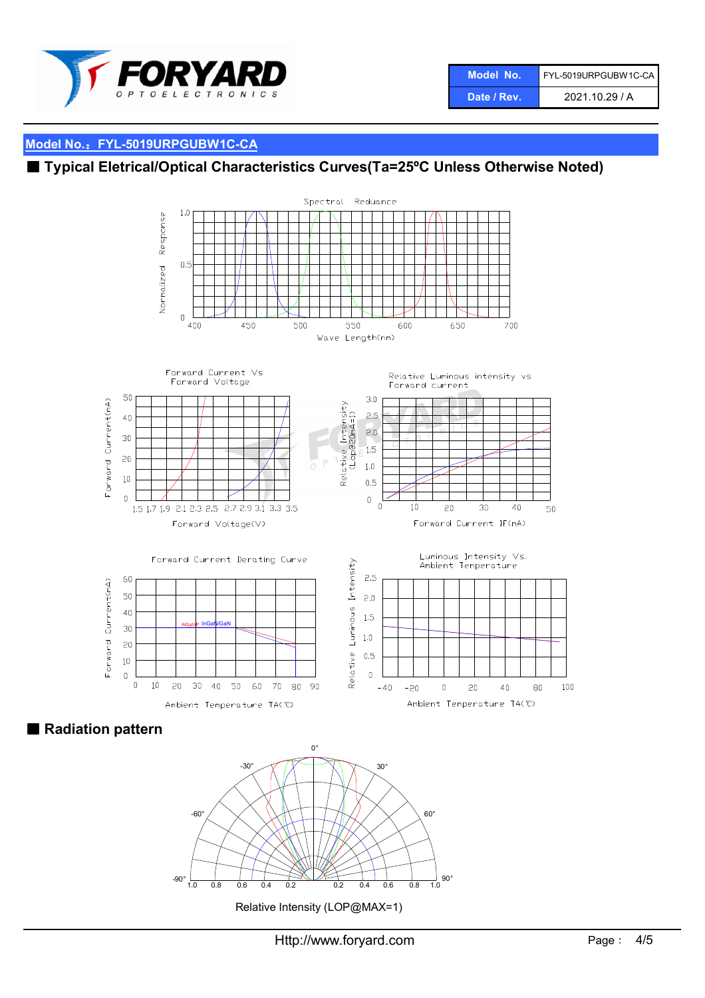

| Model No.   | FYL-5019URPGUBW1C-CA |
|-------------|----------------------|
| Date / Rev. | 2021.10.29 / A       |

## ■ Typical Eletrical/Optical Characteristics Curves(Ta=25°C Unless Otherwise Noted)



■ Radiation pattern



Relative Intensity (LOP@MAX=1)